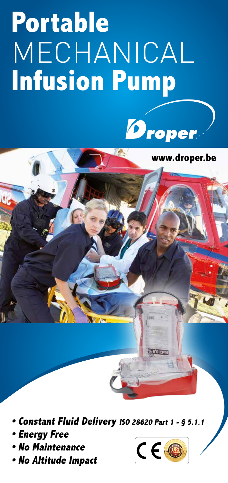# **Portable**  MECHANICAL **Infusion Pump**

www.droper.be



**• Constant Fluid Delivery ISO 28620 Part 1 - § 5.1.1**

- **Energy Free**
- **No Maintenance**
- **No Altitude Impact**

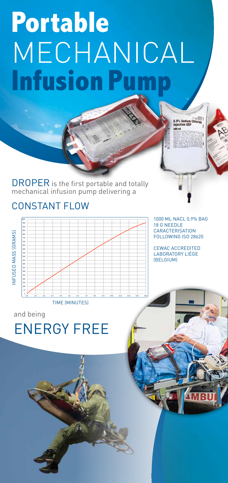## **Portable**  MECHANICAL **Infusion Pun**

DROPER is the first portable and totally mechanical infusion pump delivering a

#### CONSTANT FLOW



1000 ML NACL 0,9% BAG 18 G NEEDLE **CARACTERISATION** FOLLOWING ISO 28620

CEWAC ACCREDITED LABORATORY LIÈGE (BELGIUM)

and being

### ENERGY FREE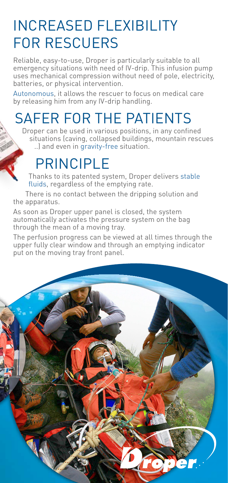#### INCREASED FLEXIBILITY FOR RESCUERS

Reliable, easy-to-use, Droper is particularly suitable to all emergency situations with need of IV-drip. This infusion pump uses mechanical compression without need of pole, electricity, batteries, or physical intervention.

Autonomous, it allows the rescuer to focus on medical care by releasing him from any IV-drip handling.

#### SAFER FOR THE PATIENTS

Droper can be used in various positions, in any confined situations (caving, collapsed buildings, mountain rescues ..) and even in gravity-free situation.

### PRINCIPI F

Thanks to its patented system, Droper delivers stable fluids, regardless of the emptying rate.

There is no contact between the dripping solution and the apparatus.

As soon as Droper upper panel is closed, the system automatically activates the pressure system on the bag through the mean of a moving tray.

The perfusion progress can be viewed at all times through the upper fully clear window and through an emptying indicator put on the moving tray front panel.